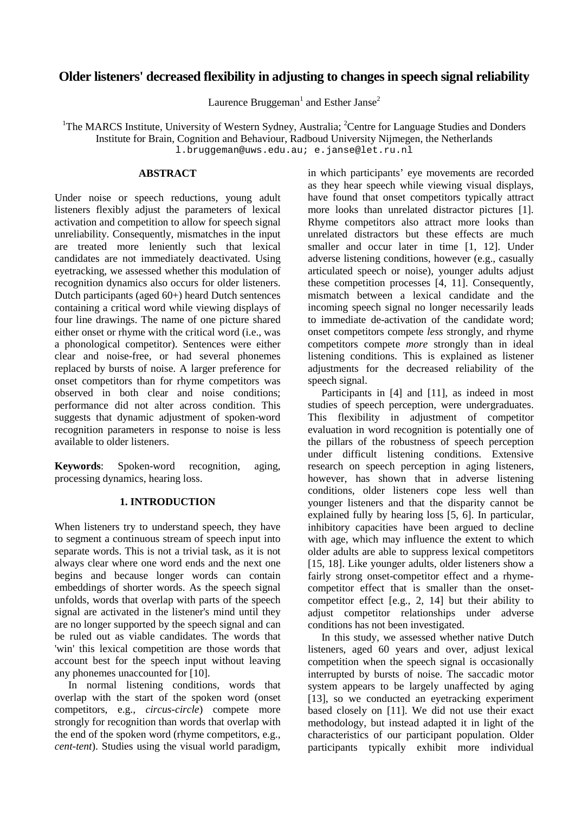# **Older listeners' decreased flexibility in adjusting to changes in speech signal reliability**

Laurence Bruggeman<sup>1</sup> and Esther Janse<sup>2</sup>

<sup>1</sup>The MARCS Institute, University of Western Sydney, Australia; <sup>2</sup>Centre for Language Studies and Donders Institute for Brain, Cognition and Behaviour, Radboud University Nijmegen, the Netherlands l.bruggeman@uws.edu.au; e.janse@let.ru.nl

### **ABSTRACT**

Under noise or speech reductions, young adult listeners flexibly adjust the parameters of lexical activation and competition to allow for speech signal unreliability. Consequently, mismatches in the input are treated more leniently such that lexical candidates are not immediately deactivated. Using eyetracking, we assessed whether this modulation of recognition dynamics also occurs for older listeners. Dutch participants (aged 60+) heard Dutch sentences containing a critical word while viewing displays of four line drawings. The name of one picture shared either onset or rhyme with the critical word (i.e., was a phonological competitor). Sentences were either clear and noise-free, or had several phonemes replaced by bursts of noise. A larger preference for onset competitors than for rhyme competitors was observed in both clear and noise conditions; performance did not alter across condition. This suggests that dynamic adjustment of spoken-word recognition parameters in response to noise is less available to older listeners.

**Keywords**: Spoken-word recognition, aging, processing dynamics, hearing loss.

# **1. INTRODUCTION**

When listeners try to understand speech, they have to segment a continuous stream of speech input into separate words. This is not a trivial task, as it is not always clear where one word ends and the next one begins and because longer words can contain embeddings of shorter words. As the speech signal unfolds, words that overlap with parts of the speech signal are activated in the listener's mind until they are no longer supported by the speech signal and can be ruled out as viable candidates. The words that 'win' this lexical competition are those words that account best for the speech input without leaving any phonemes unaccounted for [10].

In normal listening conditions, words that overlap with the start of the spoken word (onset competitors, e.g., *circus-circle*) compete more strongly for recognition than words that overlap with the end of the spoken word (rhyme competitors, e.g., *cent-tent*). Studies using the visual world paradigm,

in which participants' eye movements are recorded as they hear speech while viewing visual displays, have found that onset competitors typically attract more looks than unrelated distractor pictures [1]. Rhyme competitors also attract more looks than unrelated distractors but these effects are much smaller and occur later in time [1, 12]. Under adverse listening conditions, however (e.g., casually articulated speech or noise), younger adults adjust these competition processes [4, 11]. Consequently, mismatch between a lexical candidate and the incoming speech signal no longer necessarily leads to immediate de-activation of the candidate word; onset competitors compete *less* strongly, and rhyme competitors compete *more* strongly than in ideal listening conditions. This is explained as listener adjustments for the decreased reliability of the speech signal.

Participants in [4] and [11], as indeed in most studies of speech perception, were undergraduates. This flexibility in adjustment of competitor evaluation in word recognition is potentially one of the pillars of the robustness of speech perception under difficult listening conditions. Extensive research on speech perception in aging listeners, however, has shown that in adverse listening conditions, older listeners cope less well than younger listeners and that the disparity cannot be explained fully by hearing loss [5, 6]. In particular, inhibitory capacities have been argued to decline with age, which may influence the extent to which older adults are able to suppress lexical competitors [15, 18]. Like younger adults, older listeners show a fairly strong onset-competitor effect and a rhymecompetitor effect that is smaller than the onsetcompetitor effect [e.g., 2, 14] but their ability to adjust competitor relationships under adverse conditions has not been investigated.

In this study, we assessed whether native Dutch listeners, aged 60 years and over, adjust lexical competition when the speech signal is occasionally interrupted by bursts of noise. The saccadic motor system appears to be largely unaffected by aging [13], so we conducted an eyetracking experiment based closely on [11]. We did not use their exact methodology, but instead adapted it in light of the characteristics of our participant population. Older participants typically exhibit more individual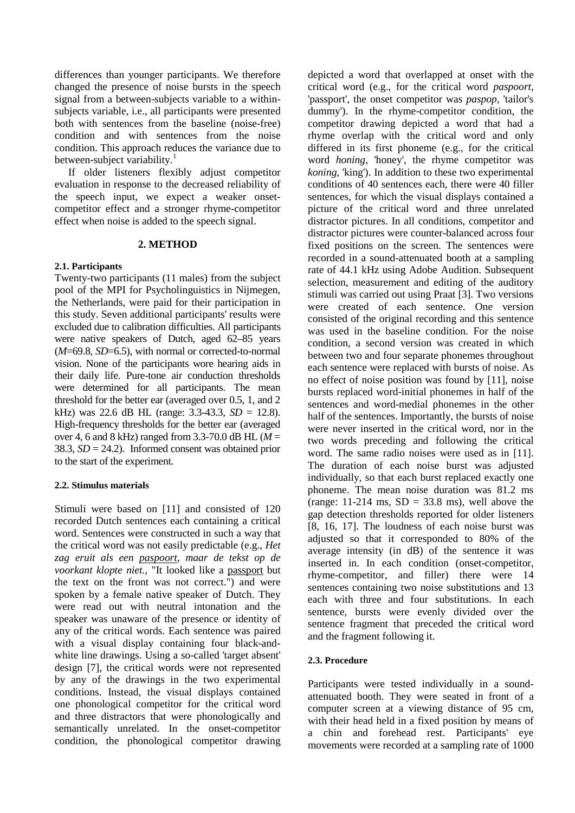differences than younger participants. We therefore changed the presence of noise bursts in the speech signal from a between-subjects variable to a withinsubjects variable, i.e., all participants were presented both with sentences from the baseline (noise-free) condition and with sentences from the noise condition. This approach reduces the variance due to between-subject variability.<sup>1</sup>

If older listeners flexibly adjust competitor evaluation in response to the decreased reliability of the speech input, we expect a weaker onsetcompetitor effect and a stronger rhyme-competitor effect when noise is added to the speech signal.

### **2. METHOD**

### **2.1. Participants**

Twenty-two participants (11 males) from the subject pool of the MPI for Psycholinguistics in Nijmegen, the Netherlands, were paid for their participation in this study. Seven additional participants' results were excluded due to calibration difficulties. All participants were native speakers of Dutch, aged 62–85 years (*M*=69.8, *SD*=6.5), with normal or corrected-to-normal vision. None of the participants wore hearing aids in their daily life. Pure-tone air conduction thresholds were determined for all participants. The mean threshold for the better ear (averaged over 0.5, 1, and 2 kHz) was 22.6 dB HL (range: 3.3-43.3, *SD* = 12.8). High-frequency thresholds for the better ear (averaged over 4, 6 and 8 kHz) ranged from 3.3-70.0 dB HL ( $M =$ 38.3,  $SD = 24.2$ ). Informed consent was obtained prior to the start of the experiment.

# **2.2. Stimulus materials**

Stimuli were based on [11] and consisted of 120 recorded Dutch sentences each containing a critical word. Sentences were constructed in such a way that the critical word was not easily predictable (e.g., *Het zag eruit als een paspoort, maar de tekst op de voorkant klopte niet.*, "It looked like a passport but the text on the front was not correct.") and were spoken by a female native speaker of Dutch. They were read out with neutral intonation and the speaker was unaware of the presence or identity of any of the critical words. Each sentence was paired with a visual display containing four black-andwhite line drawings. Using a so-called 'target absent' design [7], the critical words were not represented by any of the drawings in the two experimental conditions. Instead, the visual displays contained one phonological competitor for the critical word and three distractors that were phonologically and semantically unrelated. In the onset-competitor condition, the phonological competitor drawing

depicted a word that overlapped at onset with the critical word (e.g., for the critical word *paspoort*, 'passport', the onset competitor was *paspop*, 'tailor's dummy'). In the rhyme-competitor condition, the competitor drawing depicted a word that had a rhyme overlap with the critical word and only differed in its first phoneme (e.g., for the critical word *honing*, 'honey', the rhyme competitor was *koning*, 'king'). In addition to these two experimental conditions of 40 sentences each, there were 40 filler sentences, for which the visual displays contained a picture of the critical word and three unrelated distractor pictures. In all conditions, competitor and distractor pictures were counter-balanced across four fixed positions on the screen. The sentences were recorded in a sound-attenuated booth at a sampling rate of 44.1 kHz using Adobe Audition. Subsequent selection, measurement and editing of the auditory stimuli was carried out using Praat [3]. Two versions were created of each sentence. One version consisted of the original recording and this sentence was used in the baseline condition. For the noise condition, a second version was created in which between two and four separate phonemes throughout each sentence were replaced with bursts of noise. As no effect of noise position was found by [11], noise bursts replaced word-initial phonemes in half of the sentences and word-medial phonemes in the other half of the sentences. Importantly, the bursts of noise were never inserted in the critical word, nor in the two words preceding and following the critical word. The same radio noises were used as in [11]. The duration of each noise burst was adjusted individually, so that each burst replaced exactly one phoneme. The mean noise duration was 81.2 ms (range: 11-214 ms,  $SD = 33.8$  ms), well above the gap detection thresholds reported for older listeners [8, 16, 17]. The loudness of each noise burst was adjusted so that it corresponded to 80% of the average intensity (in dB) of the sentence it was inserted in. In each condition (onset-competitor, rhyme-competitor, and filler) there were 14 sentences containing two noise substitutions and 13 each with three and four substitutions. In each sentence, bursts were evenly divided over the sentence fragment that preceded the critical word and the fragment following it.

### **2.3. Procedure**

Participants were tested individually in a soundattenuated booth. They were seated in front of a computer screen at a viewing distance of 95 cm, with their head held in a fixed position by means of a chin and forehead rest. Participants' eye movements were recorded at a sampling rate of 1000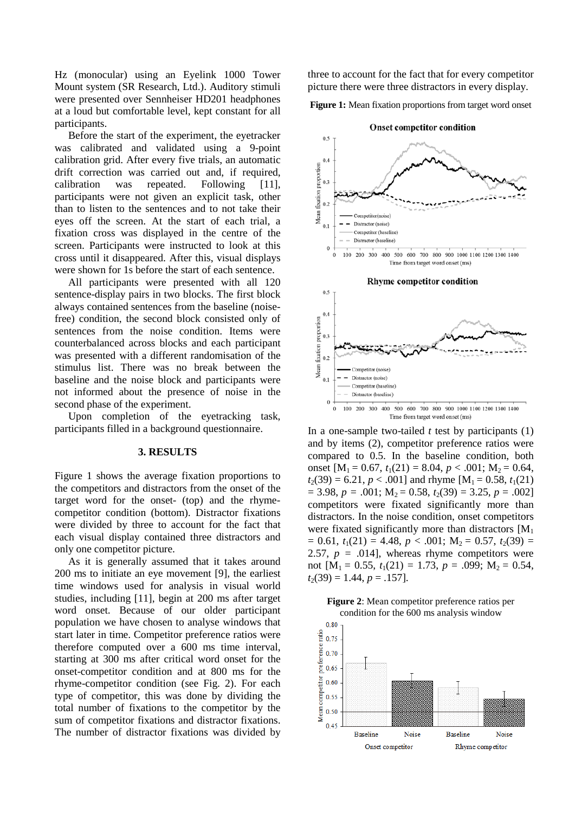Hz (monocular) using an Eyelink 1000 Tower Mount system (SR Research, Ltd.). Auditory stimuli were presented over Sennheiser HD201 headphones at a loud but comfortable level, kept constant for all participants.

Before the start of the experiment, the eyetracker was calibrated and validated using a 9-point calibration grid. After every five trials, an automatic drift correction was carried out and, if required, calibration was repeated. Following [11], participants were not given an explicit task, other than to listen to the sentences and to not take their eyes off the screen. At the start of each trial, a fixation cross was displayed in the centre of the screen. Participants were instructed to look at this cross until it disappeared. After this, visual displays were shown for 1s before the start of each sentence.

All participants were presented with all 120 sentence-display pairs in two blocks. The first block always contained sentences from the baseline (noisefree) condition, the second block consisted only of sentences from the noise condition. Items were counterbalanced across blocks and each participant was presented with a different randomisation of the stimulus list. There was no break between the baseline and the noise block and participants were not informed about the presence of noise in the second phase of the experiment.

Upon completion of the eyetracking task, participants filled in a background questionnaire.

#### **3. RESULTS**

Figure 1 shows the average fixation proportions to the competitors and distractors from the onset of the target word for the onset- (top) and the rhymecompetitor condition (bottom). Distractor fixations were divided by three to account for the fact that each visual display contained three distractors and only one competitor picture.

As it is generally assumed that it takes around 200 ms to initiate an eye movement [9], the earliest time windows used for analysis in visual world studies, including [11], begin at 200 ms after target word onset. Because of our older participant population we have chosen to analyse windows that start later in time. Competitor preference ratios were therefore computed over a 600 ms time interval, starting at 300 ms after critical word onset for the onset-competitor condition and at 800 ms for the rhyme-competitor condition (see Fig. 2). For each type of competitor, this was done by dividing the total number of fixations to the competitor by the sum of competitor fixations and distractor fixations. The number of distractor fixations was divided by three to account for the fact that for every competitor picture there were three distractors in every display.

**Figure 1:** Mean fixation proportions from target word onset



In a one-sample two-tailed  $t$  test by participants  $(1)$ and by items (2), competitor preference ratios were compared to 0.5. In the baseline condition, both onset  $[M_1 = 0.67, t_1(21) = 8.04, p < .001; M_2 = 0.64,$  $t_2(39) = 6.21, p < .001$ ] and rhyme  $[M_1 = 0.58, t_1(21)]$  $= 3.98, p = .001; M<sub>2</sub> = 0.58, t<sub>2</sub>(39) = 3.25, p = .002$ competitors were fixated significantly more than distractors. In the noise condition, onset competitors were fixated significantly more than distractors  $[M_1]$  $= 0.61, t_1(21) = 4.48, p < .001; M_2 = 0.57, t_2(39) =$ 2.57,  $p = .014$ , whereas rhyme competitors were not  $[M_1 = 0.55, t_1(21) = 1.73, p = .099; M_2 = 0.54,$  $t_2(39) = 1.44, p = .157$ .



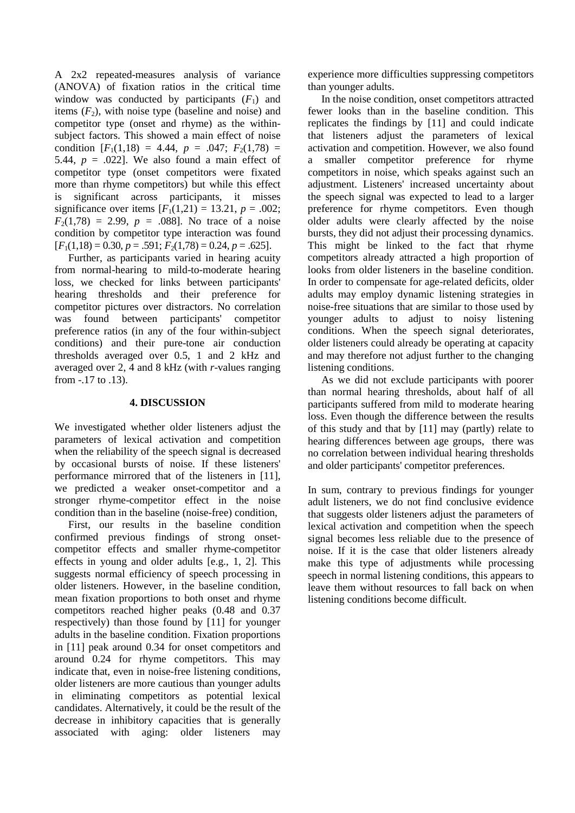A 2x2 repeated-measures analysis of variance (ANOVA) of fixation ratios in the critical time window was conducted by participants  $(F_1)$  and items  $(F_2)$ , with noise type (baseline and noise) and competitor type (onset and rhyme) as the withinsubject factors. This showed a main effect of noise condition  $[F_1(1,18) = 4.44, p = .047; F_2(1,78) =$ 5.44,  $p = .022$ ]. We also found a main effect of competitor type (onset competitors were fixated more than rhyme competitors) but while this effect is significant across participants, it misses significance over items  $[F_1(1,21) = 13.21, p = .002;$  $F_2(1,78) = 2.99$ ,  $p = .088$ ]. No trace of a noise condition by competitor type interaction was found  $[F_1(1,18) = 0.30, p = .591; F_2(1,78) = 0.24, p = .625].$ 

Further, as participants varied in hearing acuity from normal-hearing to mild-to-moderate hearing loss, we checked for links between participants' hearing thresholds and their preference for competitor pictures over distractors. No correlation was found between participants' competitor preference ratios (in any of the four within-subject conditions) and their pure-tone air conduction thresholds averaged over 0.5, 1 and 2 kHz and averaged over 2, 4 and 8 kHz (with *r*-values ranging from -.17 to .13).

### **4. DISCUSSION**

We investigated whether older listeners adjust the parameters of lexical activation and competition when the reliability of the speech signal is decreased by occasional bursts of noise. If these listeners' performance mirrored that of the listeners in [11], we predicted a weaker onset-competitor and a stronger rhyme-competitor effect in the noise condition than in the baseline (noise-free) condition,

First, our results in the baseline condition confirmed previous findings of strong onsetcompetitor effects and smaller rhyme-competitor effects in young and older adults [e.g., 1, 2]. This suggests normal efficiency of speech processing in older listeners. However, in the baseline condition, mean fixation proportions to both onset and rhyme competitors reached higher peaks (0.48 and 0.37 respectively) than those found by [11] for younger adults in the baseline condition. Fixation proportions in [11] peak around 0.34 for onset competitors and around 0.24 for rhyme competitors. This may indicate that, even in noise-free listening conditions, older listeners are more cautious than younger adults in eliminating competitors as potential lexical candidates. Alternatively, it could be the result of the decrease in inhibitory capacities that is generally associated with aging: older listeners may

experience more difficulties suppressing competitors than younger adults.

In the noise condition, onset competitors attracted fewer looks than in the baseline condition. This replicates the findings by [11] and could indicate that listeners adjust the parameters of lexical activation and competition. However, we also found a smaller competitor preference for rhyme competitors in noise, which speaks against such an adjustment. Listeners' increased uncertainty about the speech signal was expected to lead to a larger preference for rhyme competitors. Even though older adults were clearly affected by the noise bursts, they did not adjust their processing dynamics. This might be linked to the fact that rhyme competitors already attracted a high proportion of looks from older listeners in the baseline condition. In order to compensate for age-related deficits, older adults may employ dynamic listening strategies in noise-free situations that are similar to those used by younger adults to adjust to noisy listening conditions. When the speech signal deteriorates, older listeners could already be operating at capacity and may therefore not adjust further to the changing listening conditions.

As we did not exclude participants with poorer than normal hearing thresholds, about half of all participants suffered from mild to moderate hearing loss. Even though the difference between the results of this study and that by [11] may (partly) relate to hearing differences between age groups, there was no correlation between individual hearing thresholds and older participants' competitor preferences.

In sum, contrary to previous findings for younger adult listeners, we do not find conclusive evidence that suggests older listeners adjust the parameters of lexical activation and competition when the speech signal becomes less reliable due to the presence of noise. If it is the case that older listeners already make this type of adjustments while processing speech in normal listening conditions, this appears to leave them without resources to fall back on when listening conditions become difficult.